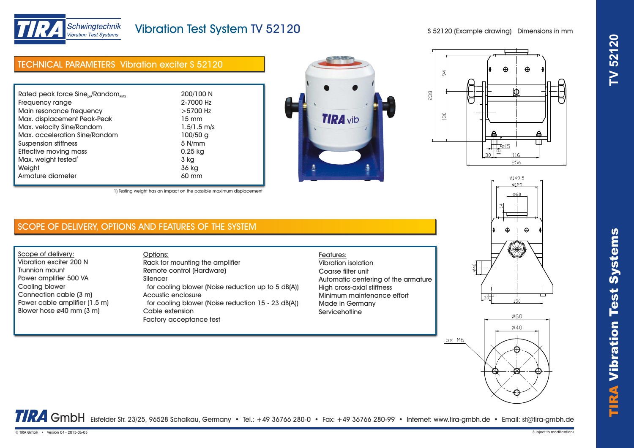

# TIRA Vibr ation Test Systems **TV 52120**

Schwingtechnik **Vibration Test Systems** 

# Vibration Test System TV 52120

S 52120 (Example drawing) Dimensions in mm







0149.5 Ø120 **Ø60** 

 $\bigoplus$ 

 $\bigoplus$ 

150

 $\frac{6}{9}$ 

 $5x$  M6

1) Testing weight has an impact on the possible maximum displacement

# SCOPE OF DELIVERY, OPTIONS AND FEATURES OF THE SYSTEM

Scope of delivery: Vibration exciter 200 N Trunnion mount Power amplifier 500 VA Cooling blower Connection cable (3 m) Power cable amplifier (1.5 m) Blower hose ø40 mm (3 m)

### Options: Rack for mounting the amplifier Remote control (Hardware) Silencer for cooling blower (Noise reduction up to 5 dB(A)) Acoustic enclosure for cooling blower (Noise reduction 15 - 23 dB(A)) Cable extension Factory acceptance test

## Features: Vibration isolation Coarse filter unit Automatic centering of the armature High cross-axial stiffness Minimum maintenance effort Made in Germany **Servicehotline**

Ø60  $\emptyset$ 40

TRA GmbH Eisfelder Str. 23/25, 96528 Schalkau, Germany • Tel.: +49 36766 280-0 • Fax: +49 36766 280-99 • Internet: www.tira-gmbh.de • Email: st@tira-gmbh.de

© TIRA GmbH • Version 04 - 2015-06-03 Subject to modifications